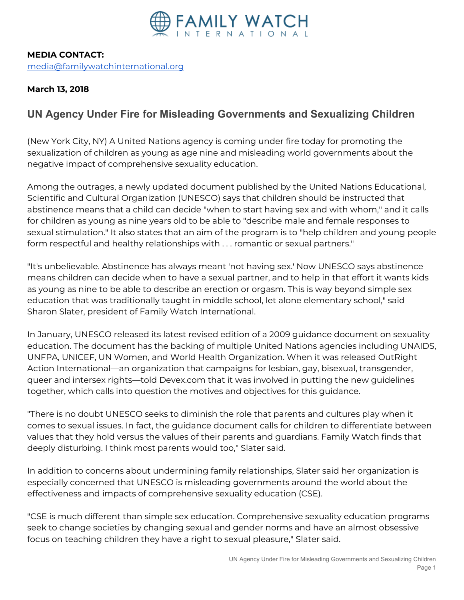

## **MEDIA CONTACT:** [media@familywatchinternational.org](mailto:media@familywatchinternational.org)

**March 13, 2018**

## **UN Agency Under Fire for Misleading Governments and Sexualizing Children**

(New York City, NY) A United Nations agency is coming under fire today for promoting the sexualization of children as young as age nine and misleading world governments about the negative impact of comprehensive sexuality education.

Among the outrages, a newly updated document published by the United Nations Educational, Scientific and Cultural Organization (UNESCO) says that children should be instructed that abstinence means that a child can decide "when to start having sex and with whom," and it calls for children as young as nine years old to be able to "describe male and female responses to sexual stimulation." It also states that an aim of the program is to "help children and young people form respectful and healthy relationships with . . . romantic or sexual partners."

"It's unbelievable. Abstinence has always meant 'not having sex.' Now UNESCO says abstinence means children can decide when to have a sexual partner, and to help in that effort it wants kids as young as nine to be able to describe an erection or orgasm. This is way beyond simple sex education that was traditionally taught in middle school, let alone elementary school," said Sharon Slater, president of Family Watch International.

In January, UNESCO released its latest revised edition of a 2009 guidance document on sexuality education. The document has the backing of multiple United Nations agencies including UNAIDS, UNFPA, UNICEF, UN Women, and World Health Organization. When it was released OutRight Action International—an organization that campaigns for lesbian, gay, bisexual, transgender, queer and intersex rights—told Devex.com that it was involved in putting the new guidelines together, which calls into question the motives and objectives for this guidance.

"There is no doubt UNESCO seeks to diminish the role that parents and cultures play when it comes to sexual issues. In fact, the guidance document calls for children to differentiate between values that they hold versus the values of their parents and guardians. Family Watch finds that deeply disturbing. I think most parents would too," Slater said.

In addition to concerns about undermining family relationships, Slater said her organization is especially concerned that UNESCO is misleading governments around the world about the effectiveness and impacts of comprehensive sexuality education (CSE).

"CSE is much different than simple sex education. Comprehensive sexuality education programs seek to change societies by changing sexual and gender norms and have an almost obsessive focus on teaching children they have a right to sexual pleasure," Slater said.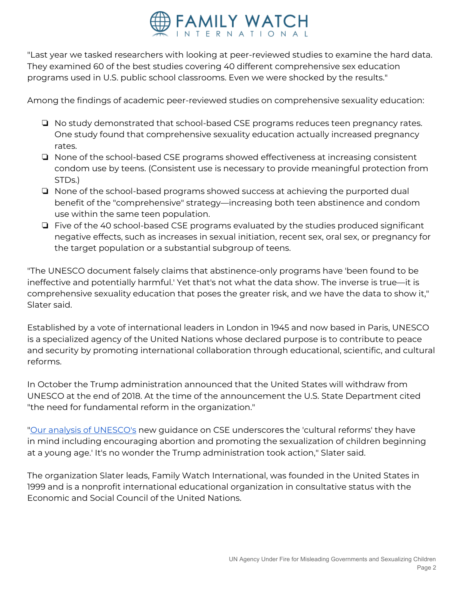

"Last year we tasked researchers with looking at peer-reviewed studies to examine the hard data. They examined 60 of the best studies covering 40 different comprehensive sex education programs used in U.S. public school classrooms. Even we were shocked by the results."

Among the findings of academic peer-reviewed studies on comprehensive sexuality education:

- ❏ No study demonstrated that school-based CSE programs reduces teen pregnancy rates. One study found that comprehensive sexuality education actually increased pregnancy rates.
- ❏ None of the school-based CSE programs showed effectiveness at increasing consistent condom use by teens. (Consistent use is necessary to provide meaningful protection from STDs.)
- ❏ None of the school-based programs showed success at achieving the purported dual benefit of the "comprehensive" strategy—increasing both teen abstinence and condom use within the same teen population.
- ❏ Five of the 40 school-based CSE programs evaluated by the studies produced significant negative effects, such as increases in sexual initiation, recent sex, oral sex, or pregnancy for the target population or a substantial subgroup of teens.

"The UNESCO document falsely claims that abstinence-only programs have 'been found to be ineffective and potentially harmful.' Yet that's not what the data show. The inverse is true—it is comprehensive sexuality education that poses the greater risk, and we have the data to show it," Slater said.

Established by a vote of international leaders in London in 1945 and now based in Paris, UNESCO is a specialized agency of the United Nations whose declared purpose is to contribute to peace and security by promoting international collaboration through educational, scientific, and cultural reforms.

In October the Trump administration announced that the United States will withdraw from UNESCO at the end of 2018. At the time of the announcement the U.S. State Department cited "the need for fundamental reform in the organization."

"Our analysis of [UNESCO's](https://www.comprehensivesexualityeducation.org/wp-content/uploads/UNESCO_2018_CSE_Excerpts-1.pdf) new guidance on CSE underscores the 'cultural reforms' they have in mind including encouraging abortion and promoting the sexualization of children beginning at a young age.' It's no wonder the Trump administration took action," Slater said.

The organization Slater leads, Family Watch International, was founded in the United States in 1999 and is a nonprofit international educational organization in consultative status with the Economic and Social Council of the United Nations.